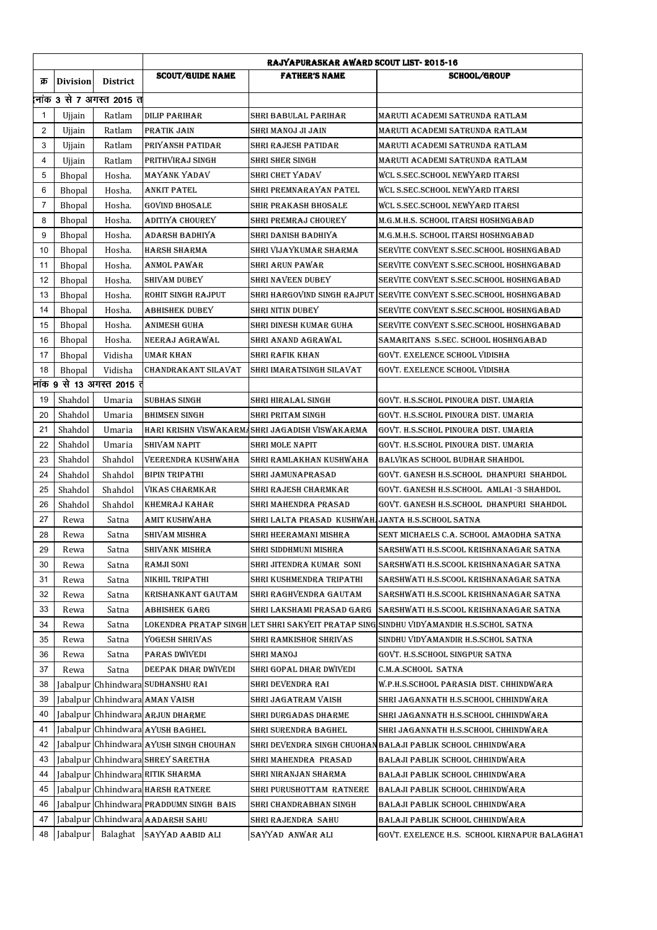|                | <b>RAJYAPURASKAR AWARD SCOUT LIST-2015-16</b> |                           |                                         |                                                  |                                                                 |
|----------------|-----------------------------------------------|---------------------------|-----------------------------------------|--------------------------------------------------|-----------------------------------------------------------------|
| क्र            | <b>Division</b>                               | District                  | <b>SCOUT/GUIDE NAME</b>                 | <b>FATHER'S NAME</b>                             | <b>SCHOOL/GROUP</b>                                             |
|                |                                               | लांक 3 से 7 अगस्त 2015 त  |                                         |                                                  |                                                                 |
| $\mathbf{1}$   | Ujjain                                        | Ratlam                    | DILIP PARIHAR                           | SHRI BABULAL PARIHAR                             | MARUTI ACADEMI SATRUNDA RATLAM                                  |
| 2              | Ujjain                                        | Ratlam                    | PRATIK JAIN                             | SHRI MANOJ JI JAIN                               | MARUTI ACADEMI SATRUNDA RATLAM                                  |
| 3              | Ujjain                                        | Ratlam                    | PRIYANSH PATIDAR                        | SHRI RAJESH PATIDAR                              | MARUTI ACADEMI SATRUNDA RATLAM                                  |
| 4              | Ujjain                                        | Ratlam                    | PRITHVIRAJ SINGH                        | SHRI SHER SINGH                                  | MARUTI ACADEMI SATRUNDA RATLAM                                  |
| 5              | Bhopal                                        | Hosha.                    | MAYANK YADAV                            | SHRI CHET YADAV                                  | WCL S.SEC.SCHOOL NEWYARD ITARSI                                 |
| 6              | Bhopal                                        | Hosha.                    | <b>ANKIT PATEL</b>                      | SHRI PREMNARAYAN PATEL                           | <b>WCL S.SEC.SCHOOL NEWYARD ITARSI</b>                          |
| $\overline{7}$ | Bhopal                                        | Hosha.                    | <b>GOVIND BHOSALE</b>                   | SHIR PRAKASH BHOSALE                             | WCL S.SEC.SCHOOL NEWYARD ITARSI                                 |
| 8              | Bhopal                                        | Hosha.                    | ADITIYA CHOUREY                         | SHRI PREMRAJ CHOUREY                             | M.G.M.H.S. SCHOOL ITARSI HOSHNGABAD                             |
| 9              | Bhopal                                        | Hosha.                    | ADARSH BADHIYA                          | SHRI DANISH BADHIYA                              | M.G.M.H.S. SCHOOL ITARSI HOSHNGABAD                             |
| 10             | Bhopal                                        | Hosha.                    | <b>HARSH SHARMA</b>                     | SHRI VIJAYKUMAR SHARMA                           | SERVITE CONVENT S.SEC.SCHOOL HOSHNGABAD                         |
| 11             | Bhopal                                        | Hosha.                    | ANMOL PAWAR                             | SHRI ARUN PAWAR                                  | SERVITE CONVENT S.SEC.SCHOOL HOSHNGABAD                         |
| 12             | <b>Bhopal</b>                                 | Hosha.                    | SHIVAM DUBEY                            | SHRI NAVEEN DUBEY                                | SERVITE CONVENT S.SEC.SCHOOL HOSHNGABAD                         |
| 13             | Bhopal                                        | Hosha.                    | ROHIT SINGH RAJPUT                      | SHRI HARGOVIND SINGH RAJPUT                      | SERVITE CONVENT S.SEC.SCHOOL HOSHNGABAD                         |
| 14             | Bhopal                                        | Hosha.                    | <b>ABHISHEK DUBEY</b>                   | <b>SHRI NITIN DUBEY</b>                          | SERVITE CONVENT S.SEC.SCHOOL HOSHNGABAD                         |
| 15             | Bhopal                                        | Hosha.                    | ANIMESH GUHA                            | SHRI DINESH KUMAR GUHA                           | SERVITE CONVENT S.SEC.SCHOOL HOSHNGABAD                         |
| 16             | <b>Bhopal</b>                                 | Hosha.                    | NEERAJ AGRAWAL                          | SHRI ANAND AGRAWAL                               | SAMARITANS S.SEC. SCHOOL HOSHNGABAD                             |
| 17             | Bhopal                                        | Vidisha                   | <b>UMAR KHAN</b>                        | SHRI RAFIK KHAN                                  | GOVT. EXELENCE SCHOOL VIDISHA                                   |
| 18             | Bhopal                                        | Vidisha                   | CHANDRAKANT SILAVAT                     | SHRI IMARATSINGH SILAVAT                         | GOVT, EXELENCE SCHOOL VIDISHA                                   |
|                |                                               | नांक 9 से 13 अगस्त 2015 त |                                         |                                                  |                                                                 |
| 19             | Shahdol                                       | Umaria                    | <b>SUBHAS SINGH</b>                     | SHRI HIRALAL SINGH                               | GOVT. H.S.SCHOL PINOURA DIST. UMARIA                            |
| 20             | Shahdol                                       | Umaria                    | <b>BHIMSEN SINGH</b>                    | SHRI PRITAM SINGH                                | GOVT. H.S.SCHOL PINOURA DIST. UMARIA                            |
| 21             | Shahdol                                       | Umaria                    |                                         | HARI KRISHN VISWAKARMASHRI JAGADISH VISWAKARMA   | GOVT. H.S.SCHOL PINOURA DIST. UMARIA                            |
| 22             | Shahdol                                       | Umaria                    | SHIVAM NAPIT                            | SHRI MOLE NAPIT                                  | GOVT. H.S.SCHOL PINOURA DIST. UMARIA                            |
| 23             | Shahdol                                       | Shahdol                   | VEERENDRA KUSHWAHA                      | SHRI RAMLAKHAN KUSHWAHA                          | BALVIKAS SCHOOL BUDHAR SHAHDOL                                  |
| 24             | Shahdol                                       | Shahdol                   | <b>BIPIN TRIPATHI</b>                   | SHRI JAMUNAPRASAD                                | GOVT. GANESH H.S.SCHOOL DHANPURI SHAHDOL                        |
| 25             | Shahdol                                       | Shahdol                   | <b>VIKAS CHARMKAR</b>                   | SHRI RAJESH CHARMKAR                             | GOVT. GANESH H.S.SCHOOL AMLAI-3 SHAHDOL                         |
| 26             | Shahdol                                       | Shahdol                   | KHEMRAJ KAHAR                           | SHRI MAHENDRA PRASAD                             | GOVT. GANESH H.S.SCHOOL DHANPURI SHAHDOL                        |
| 27             | Rewa                                          | Satna                     | AMIT KUSHWAHA                           | SHRI LALTA PRASAD KUSHWAH JANTA H.S.SCHOOL SATNA |                                                                 |
| 28             | Rewa                                          | Satna                     | SHIVAM MISHRA                           | SHRI HEERAMANI MISHRA                            | SENT MICHAELS C.A. SCHOOL AMAODHA SATNA                         |
| 29             | Rewa                                          | Satna                     | SHIVANK MISHRA                          | SHRI SIDDHMUNI MISHRA                            | SARSHWATI H.S.SCOOL KRISHNANAGAR SATNA                          |
| 30             | Rewa                                          | Satna                     | RAMJI SONI                              | SHRI JITENDRA KUMAR SONI                         | SARSHWATI H.S.SCOOL KRISHNANAGAR SATNA                          |
| 31             | Rewa                                          | Satna                     | NIKHIL TRIPATHI                         | SHRI KUSHMENDRA TRIPATHI                         | SARSHWATI H.S.SCOOL KRISHNANAGAR SATNA                          |
| 32             | Rewa                                          | Satna                     | KRISHANKANT GAUTAM                      | SHRI RAGHVENDRA GAUTAM                           | SARSHWATI H.S.SCOOL KRISHNANAGAR SATNA                          |
| 33             | Rewa                                          | Satna                     | ABHISHEK GARG                           | SHRI LAKSHAMI PRASAD GARG                        | SARSHWATI H.S.SCOOL KRISHNANAGAR SATNA                          |
| 34             | Rewa                                          | Satna                     | LOKENDRA PRATAP SINGH                   |                                                  | LET SHRI SAKYEIT PRATAP SING SINDHU VIDYAMANDIR H.S.SCHOL SATNA |
| 35             | Rewa                                          | Satna                     | YOGESH SHRIVAS                          | SHRI RAMKISHOR SHRIVAS                           | SINDHU VIDYAMANDIR H.S.SCHOL SATNA                              |
| 36             | Rewa                                          | Satna                     | PARAS DWIVEDI                           | SHRI MANOJ                                       | GOVT. H.S.SCHOOL SINGPUR SATNA                                  |
| 37             | Rewa                                          | Satna                     | DEEPAK DHAR DWIVEDI                     | SHRI GOPAL DHAR DWIVEDI                          | C.M.A.SCHOOL SATNA                                              |
| 38             |                                               |                           | Jabalpur Chhindwara SUDHANSHU RAI       | SHRI DEVENDRA RAI                                | W.P.H.S.SCHOOL PARASIA DIST. CHHINDWARA                         |
| 39             |                                               |                           | Jabalpur Chhindwara AMAN VAISH          | SHRI JAGATRAM VAISH                              | SHRI JAGANNATH H.S.SCHOOL CHHINDWARA                            |
| 40             |                                               |                           | Jabalpur Chhindwara ARJUN DHARME        | SHRI DURGADAS DHARME                             | SHRI JAGANNATH H.S.SCHOOL CHHINDWARA                            |
| 41             |                                               |                           | Jabalpur Chhindwara AYUSH BAGHEL        | SHRI SURENDRA BAGHEL                             | SHRI JAGANNATH H.S.SCHOOL CHHINDWARA                            |
| 42             |                                               |                           | Jabalpur Chhindwara AYUSH SINGH CHOUHAN |                                                  | SHRI DEVENDRA SINGH CHUOHANBALAJI PABLIK SCHOOL CHHINDWARA      |
| 43             |                                               |                           | Jabalpur Chhindwara SHREY SARETHA       | SHRI MAHENDRA PRASAD                             | BALAJI PABLIK SCHOOL CHHINDWARA                                 |
| 44             |                                               |                           | Jabalpur Chhindwara RITIK SHARMA        | SHRI NIRANJAN SHARMA                             | BALAJI PABLIK SCHOOL CHHINDWARA                                 |
| 45             |                                               |                           | Jabalpur Chhindwara HARSH RATNERE       | SHRI PURUSHOTTAM RATNERE                         | BALAJI PABLIK SCHOOL CHHINDWARA                                 |
| 46             |                                               |                           | Jabalpur Chhindwara PRADDUMN SINGH BAIS | SHRI CHANDRABHAN SINGH                           | BALAJI PABLIK SCHOOL CHHINDWARA                                 |
| 47             |                                               |                           | Jabalpur Chhindwara AADARSH SAHU        | SHRI RAJENDRA SAHU                               | BALAJI PABLIK SCHOOL CHHINDWARA                                 |
| 48             | Jabalpur                                      |                           | Balaghat SAYYAD AABID ALI               | SAYYAD ANWAR ALI                                 | GOVT. EXELENCE H.S. SCHOOL KIRNAPUR BALAGHAT                    |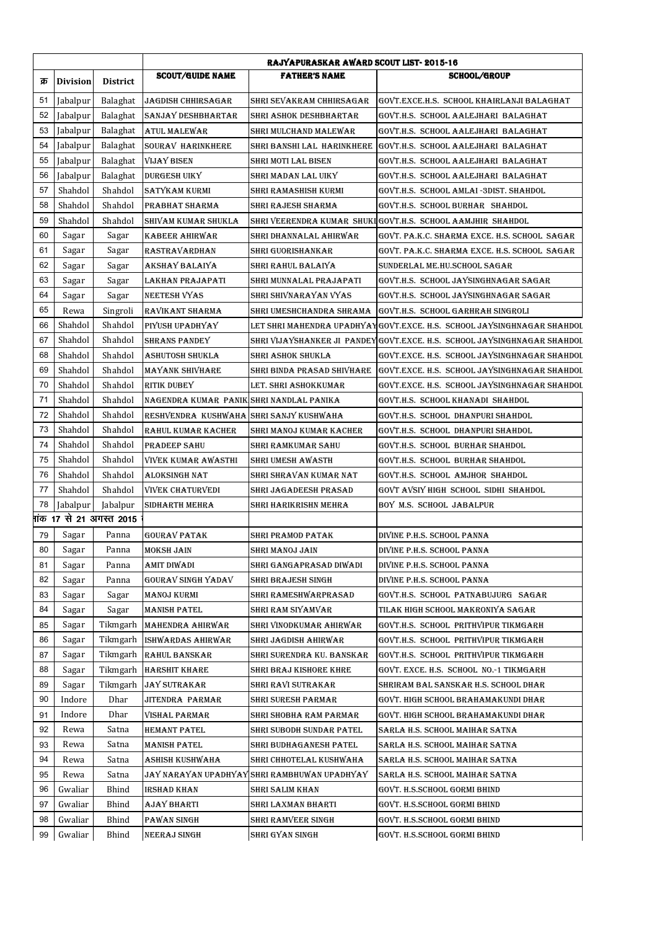|     |                 |                                       |                                          | RAJYAPURASKAR AWARD SCOUT LIST-2015-16       |                                                                          |  |
|-----|-----------------|---------------------------------------|------------------------------------------|----------------------------------------------|--------------------------------------------------------------------------|--|
| क्र | <b>Division</b> | <b>District</b>                       | <b>SCOUT/GUIDE NAME</b>                  | <b>FATHER'S NAME</b>                         | <b>SCHOOL/GROUP</b>                                                      |  |
| 51  | Jabalpur        | Balaghat                              | <b>JAGDISH CHHIRSAGAR</b>                | SHRI SEVAKRAM CHHIRSAGAR                     | GOVT.EXCE.H.S. SCHOOL KHAIRLANJI BALAGHAT                                |  |
| 52  | Jabalpur        | Balaghat                              | <b>SANJAY DESHBHARTAR</b>                | SHRI ASHOK DESHBHARTAR                       | GOVT.H.S. SCHOOL AALEJHARI BALAGHAT                                      |  |
| 53  | Jabalpur        | Balaghat                              | ATUL MALEWAR                             | SHRI MULCHAND MALEWAR                        | GOVT.H.S. SCHOOL AALEJHARI BALAGHAT                                      |  |
| 54  | Jabalpur        | Balaghat                              | SOURAV HARINKHERE                        | SHRI BANSHI LAL HARINKHERE                   | GOVT.H.S. SCHOOL AALEJHARI BALAGHAT                                      |  |
| 55  | Jabalpur        | Balaghat                              | <b>VIJAY BISEN</b>                       | SHRI MOTI LAL BISEN                          | GOVT.H.S. SCHOOL AALEJHARI BALAGHAT                                      |  |
| 56  | Jabalpur        | Balaghat                              | <b>DURGESH UIKY</b>                      | SHRI MADAN LAL UIKY                          | GOVT.H.S. SCHOOL AALEJHARI BALAGHAT                                      |  |
| 57  | Shahdol         | Shahdol                               | <b>SATYKAM KURMI</b>                     | SHRI RAMASHISH KURMI                         | GOVT.H.S. SCHOOL AMLAI-3DIST. SHAHDOL                                    |  |
| 58  | Shahdol         | Shahdol                               | PRABHAT SHARMA                           | SHRI RAJESH SHARMA                           | GOVT.H.S. SCHOOL BURHAR SHAHDOL                                          |  |
| 59  | Shahdol         | Shahdol                               | SHIVAM KUMAR SHUKLA                      |                                              | SHRI VEERENDRA KUMAR SHUKI GOVT.H.S. SCHOOL AAMJHIR SHAHDOL              |  |
| 60  | Sagar           | Sagar                                 | KABEER AHIRWAR                           | SHRI DHANNALAL AHIRWAR                       | GOVT. PA.K.C. SHARMA EXCE. H.S. SCHOOL SAGAR                             |  |
| 61  | Sagar           | Sagar                                 | RASTRAVARDHAN                            | SHRI GUORISHANKAR                            | GOVT. PA.K.C. SHARMA EXCE. H.S. SCHOOL SAGAR                             |  |
| 62  | Sagar           | Sagar                                 | AKSHAY BALAIYA                           | SHRI RAHUL BALAIYA                           | SUNDERLAL ME.HU.SCHOOL SAGAR                                             |  |
| 63  | Sagar           | Sagar                                 | LAKHAN PRAJAPATI                         | SHRI MUNNALAL PRAJAPATI                      | GOVT.H.S. SCHOOL JAYSINGHNAGAR SAGAR                                     |  |
| 64  | Sagar           | Sagar                                 | NEETESH VYAS                             | SHRI SHIVNARAYAN VYAS                        | GOVT.H.S. SCHOOL JAYSINGHNAGAR SAGAR                                     |  |
| 65  | Rewa            | Singroli                              | RAVIKANT SHARMA                          | SHRI UMESHCHANDRA SHRAMA                     | GOVT.H.S. SCHOOL GARHRAH SINGROLI                                        |  |
| 66  | Shahdol         | Shahdol                               | PIYUSH UPADHYAY                          |                                              | LET SHRI MAHENDRA UPADHYAYGOVT.EXCE. H.S.  SCHOOL JAYSINGHNAGAR SHAHDOL  |  |
| 67  | Shahdol         | Shahdol                               | <b>SHRANS PANDEY</b>                     |                                              | SHRI VIJAYSHANKER JI PANDEY GOVT.EXCE. H.S. SCHOOL JAYSINGHNAGAR SHAHDOL |  |
| 68  | Shahdol         | Shahdol                               | ASHUTOSH SHUKLA                          | SHRI ASHOK SHUKLA                            | GOVT.EXCE. H.S. SCHOOL JAYSINGHNAGAR SHAHDOL                             |  |
| 69  | Shahdol         | Shahdol                               | MAYANK SHIVHARE                          | SHRI BINDA PRASAD SHIVHARE                   | GOVT.EXCE. H.S. SCHOOL JAYSINGHNAGAR SHAHDOL                             |  |
| 70  | Shahdol         | Shahdol                               | RITIK DUBEY                              | LET. SHRI ASHOKKUMAR                         | GOVT.EXCE. H.S.  SCHOOL JAYSINGHNAGAR SHAHDOL                            |  |
| 71  | Shahdol         | Shahdol                               | NAGENDRA KUMAR PANIK SHRI NANDLAL PANIKA |                                              | GOVT.H.S. SCHOOL KHANADI SHAHDOL                                         |  |
| 72  | Shahdol         | Shahdol                               | RESHVENDRA KUSHWAHA SHRI SANJY KUSHWAHA  |                                              | GOVT.H.S. SCHOOL DHANPURI SHAHDOL                                        |  |
| 73  | Shahdol         | Shahdol                               | RAHUL KUMAR KACHER                       | SHRI MANOJ KUMAR KACHER                      | GOVT.H.S. SCHOOL DHANPURI SHAHDOL                                        |  |
| 74  | Shahdol         | Shahdol                               | PRADEEP SAHU                             | SHRI RAMKUMAR SAHU                           | GOVT.H.S. SCHOOL BURHAR SHAHDOL                                          |  |
| 75  | Shahdol         | Shahdol                               | VIVEK KUMAR AWASTHI                      | SHRI UMESH AWASTH                            | GOVT.H.S. SCHOOL BURHAR SHAHDOL                                          |  |
| 76  | Shahdol         | Shahdol                               | ALOKSINGH NAT                            | SHRI SHRAVAN KUMAR NAT                       | GOVT.H.S. SCHOOL AMJHOR SHAHDOL                                          |  |
| 77  | Shahdol         | Shahdol                               | <b>VIVEK CHATURVEDI</b>                  | SHRI JAGADEESH PRASAD                        | GOVT AVSIY HIGH SCHOOL SIDHI SHAHDOL                                     |  |
| 78  | Jabalpur        | Jabalpur                              | SIDHARTH MEHRA                           | SHRI HARIKRISHN MEHRA                        | BOY M.S. SCHOOL JABALPUR                                                 |  |
|     |                 | <del> 1</del> ांक 17 से 21 अगस्त 2015 |                                          |                                              |                                                                          |  |
| 79  | Sagar           | Panna                                 | <b>GOURAV PATAK</b>                      | <b>SHRI PRAMOD PATAK</b>                     | DIVINE P.H.S. SCHOOL PANNA                                               |  |
| 80  | Sagar           | Panna                                 | <b>MOKSH JAIN</b>                        | SHRI MANOJ JAIN                              | DIVINE P.H.S. SCHOOL PANNA                                               |  |
| 81  | Sagar           | Panna                                 | AMIT DIWADI                              | SHRI GANGAPRASAD DIWADI                      | DIVINE P.H.S. SCHOOL PANNA                                               |  |
| 82  | Sagar           | Panna                                 | GOURAV SINGH YADAV                       | SHRI BRAJESH SINGH                           | DIVINE P.H.S. SCHOOL PANNA                                               |  |
| 83  | Sagar           | Sagar                                 | MANOJ KURMI                              | SHRI RAMESHWARPRASAD                         | GOVT.H.S. SCHOOL PATNABUJURG SAGAR                                       |  |
| 84  | Sagar           | Sagar                                 | MANISH PATEL                             | SHRI RAM SIYAMVAR                            | TILAK HIGH SCHOOL MAKRONIYA SAGAR                                        |  |
| 85  | Sagar           | Tikmgarh                              | MAHENDRA AHIRWAR                         | SHRI VINODKUMAR AHIRWAR                      | GOVT.H.S. SCHOOL PRITHVIPUR TIKMGARH                                     |  |
| 86  | Sagar           | Tikmgarh                              | ISHWARDAS AHIRWAR                        | SHRI JAGDISH AHIRWAR                         | GOVT.H.S. SCHOOL PRITHVIPUR TIKMGARH                                     |  |
| 87  | Sagar           | Tikmgarh                              | <b>RAHUL BANSKAR</b>                     | SHRI SURENDRA KU. BANSKAR                    | GOVT.H.S. SCHOOL PRITHVIPUR TIKMGARH                                     |  |
| 88  | Sagar           | Tikmgarh                              | <b>HARSHIT KHARE</b>                     | SHRI BRAJ KISHORE KHRE                       | GOVT. EXCE. H.S. SCHOOL NO.-1 TIKMGARH                                   |  |
| 89  | Sagar           | Tikmgarh                              | <b>JAY SUTRAKAR</b>                      | SHRI RAVI SUTRAKAR                           | SHRIRAM BAL SANSKAR H.S. SCHOOL DHAR                                     |  |
| 90  | Indore          | Dhar                                  | JITENDRA PARMAR                          | <b>SHRI SURESH PARMAR</b>                    | GOVT. HIGH SCHOOL BRAHAMAKUNDI DHAR                                      |  |
| 91  | Indore          | Dhar                                  | VISHAL PARMAR                            | SHRI SHOBHA RAM PARMAR                       | GOVT. HIGH SCHOOL BRAHAMAKUNDI DHAR                                      |  |
| 92  | Rewa            | Satna                                 | HEMANT PATEL                             | SHRI SUBODH SUNDAR PATEL                     | SARLA H.S. SCHOOL MAIHAR SATNA                                           |  |
| 93  | Rewa            | Satna                                 | MANISH PATEL                             | SHRI BUDHAGANESH PATEL                       | SARLA H.S. SCHOOL MAIHAR SATNA                                           |  |
| 94  | Rewa            | Satna                                 | ASHISH KUSHWAHA                          | SHRI CHHOTELAL KUSHWAHA                      | SARLA H.S. SCHOOL MAIHAR SATNA                                           |  |
| 95  | Rewa            | Satna                                 |                                          | JAY NARAYAN UPADHYAY SHRI RAMBHUWAN UPADHYAY | SARLA H.S. SCHOOL MAIHAR SATNA                                           |  |
| 96  | Gwaliar         | Bhind                                 | IRSHAD KHAN                              | SHRI SALIM KHAN                              | GOVT. H.S.SCHOOL GORMI BHIND                                             |  |
| 97  | Gwaliar         | Bhind                                 | AJAY BHARTI                              | SHRI LAXMAN BHARTI                           | GOVT. H.S.SCHOOL GORMI BHIND                                             |  |
| 98  | Gwaliar         | Bhind                                 | PAWAN SINGH                              | SHRI RAMVEER SINGH                           | GOVT. H.S.SCHOOL GORMI BHIND                                             |  |
| 99  | Gwaliar         | Bhind                                 | NEERAJ SINGH                             | SHRI GYAN SINGH                              | GOVT. H.S.SCHOOL GORMI BHIND                                             |  |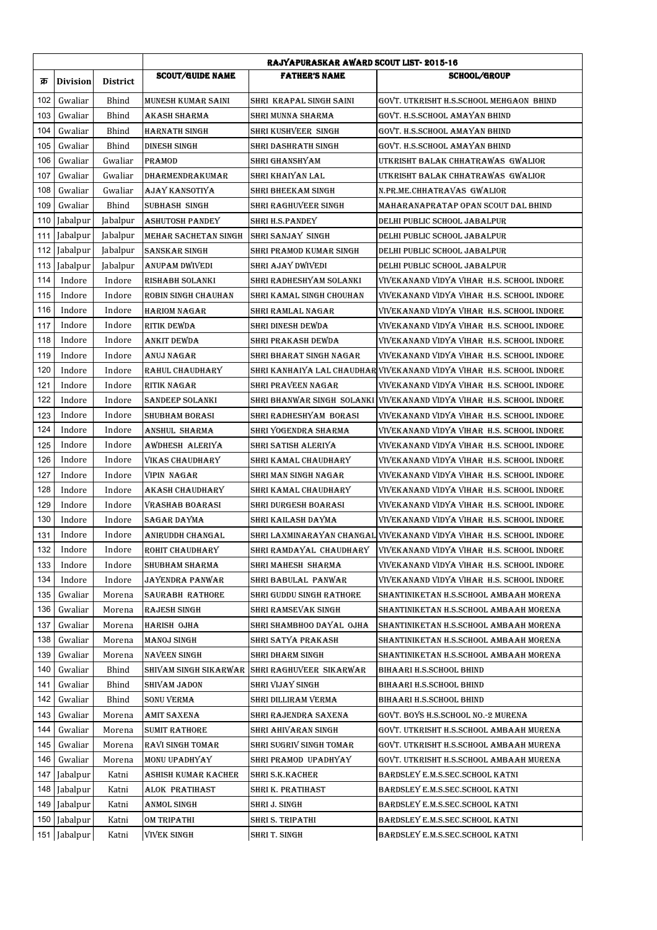|     |                 |                 | <b>RAJYAPURASKAR AWARD SCOUT LIST-2015-16</b> |                                 |                                                                       |  |
|-----|-----------------|-----------------|-----------------------------------------------|---------------------------------|-----------------------------------------------------------------------|--|
| क्र | <b>Division</b> | <b>District</b> | <b>SCOUT/GUIDE NAME</b>                       | <b>FATHER'S NAME</b>            | <b>SCHOOL/GROUP</b>                                                   |  |
| 102 | Gwaliar         | Bhind           | MUNESH KUMAR SAINI                            | SHRI KRAPAL SINGH SAINI         | GOVT. UTKRISHT H.S.SCHOOL MEHGAON  BHIND                              |  |
| 103 | Gwaliar         | Bhind           | AKASH SHARMA                                  | SHRI MUNNA SHARMA               | GOVT. H.S.SCHOOL AMAYAN BHIND                                         |  |
| 104 | Gwaliar         | Bhind           | <b>HARNATH SINGH</b>                          | SHRI KUSHVEER SINGH             | GOVT. H.S.SCHOOL AMAYAN BHIND                                         |  |
| 105 | Gwaliar         | Bhind           | DINESH SINGH                                  | SHRI DASHRATH SINGH             | GOVT. H.S.SCHOOL AMAYAN BHIND                                         |  |
| 106 | Gwaliar         | Gwaliar         | PRAMOD                                        | SHRI GHANSHYAM                  | UTKRISHT BALAK CHHATRAWAS  GWALIOR                                    |  |
| 107 | Gwaliar         | Gwaliar         | DHARMENDRAKUMAR                               | SHRI KHAIYAN LAL                | UTKRISHT BALAK CHHATRAWAS  GWALIOR                                    |  |
| 108 | Gwaliar         | Gwaliar         | AJAY KANSOTIYA                                | SHRI BHEEKAM SINGH              | N.PR.ME.CHHATRAVAS GWALIOR                                            |  |
| 109 | Gwaliar         | Bhind           | SUBHASH SINGH                                 | SHRI RAGHUVEER SINGH            | MAHARANAPRATAP OPAN SCOUT DAL BHIND                                   |  |
| 110 | Jabalpur        | Jabalpur        | ASHUTOSH PANDEY                               | SHRI H.S.PANDEY                 | DELHI PUBLIC SCHOOL JABALPUR                                          |  |
| 111 | Jabalpur        | Jabalpur        | MEHAR SACHETAN SINGH                          | SHRI SANJAY SINGH               | DELHI PUBLIC SCHOOL JABALPUR                                          |  |
| 112 | Jabalpur        | Jabalpur        | <b>SANSKAR SINGH</b>                          | SHRI PRAMOD KUMAR SINGH         | DELHI PUBLIC SCHOOL JABALPUR                                          |  |
| 113 | Jabalpur        | Jabalpur        | ANUPAM DWIVEDI                                | SHRI AJAY DWIVEDI               | DELHI PUBLIC SCHOOL JABALPUR                                          |  |
| 114 | Indore          | Indore          | RISHABH SOLANKI                               | SHRI RADHESHYAM SOLANKI         | VIVEKANAND VIDYA VIHAR  H.S. SCHOOL INDORE                            |  |
| 115 | Indore          | Indore          | ROBIN SINGH CHAUHAN                           | SHRI KAMAL SINGH CHOUHAN        | VIVEKANAND VIDYA VIHAR  H.S. SCHOOL INDORE                            |  |
| 116 | Indore          | Indore          | <b>HARIOM NAGAR</b>                           | SHRI RAMLAL NAGAR               | VIVEKANAND VIDYA VIHAR  H.S. SCHOOL INDORE                            |  |
| 117 | Indore          | Indore          | RITIK DEWDA                                   | SHRI DINESH DEWDA               | VIVEKANAND VIDYA VIHAR  H.S. SCHOOL INDORE                            |  |
| 118 | Indore          | Indore          | ANKIT DEWDA                                   | SHRI PRAKASH DEWDA              | VIVEKANAND VIDYA VIHAR-H.S. SCHOOL INDORE                             |  |
| 119 | Indore          | Indore          | ANUJ NAGAR                                    | SHRI BHARAT SINGH NAGAR         | VIVEKANAND VIDYA VIHAR  H.S. SCHOOL INDORE                            |  |
| 120 | Indore          | Indore          | RAHUL CHAUDHARY                               |                                 | SHRI KANHAIYA LAL CHAUDHAR VIVEKANAND VIDYA VIHAR  H.S. SCHOOL INDORE |  |
| 121 | Indore          | Indore          | RITIK NAGAR                                   | SHRI PRAVEEN NAGAR              | VIVEKANAND VIDYA VIHAR  H.S. SCHOOL INDORE                            |  |
| 122 | Indore          | Indore          | SANDEEP SOLANKI                               | SHRI BHANWAR SINGH SOLANKI      | VIVEKANAND VIDYA VIHAR H.S. SCHOOL INDORE                             |  |
| 123 | Indore          | Indore          | <b>SHUBHAM BORASI</b>                         | SHRI RADHESHYAM BORASI          | VIVEKANAND VIDYA VIHAR  H.S. SCHOOL INDORE                            |  |
| 124 | Indore          | Indore          | ANSHUL SHARMA                                 | SHRI YOGENDRA SHARMA            | VIVEKANAND VIDYA VIHAR  H.S. SCHOOL INDORE                            |  |
| 125 | Indore          | Indore          | AWDHESH ALERIYA                               | SHRI SATISH ALERIYA             | VIVEKANAND VIDYA VIHAR  H.S. SCHOOL INDORE                            |  |
| 126 | Indore          | Indore          | VIKAS CHAUDHARY                               | SHRI KAMAL CHAUDHARY            | VIVEKANAND VIDYA VIHAR  H.S. SCHOOL INDORE                            |  |
| 127 | Indore          | Indore          | VIPIN NAGAR                                   | SHRI MAN SINGH NAGAR            | VIVEKANAND VIDYA VIHAR  H.S. SCHOOL INDORE                            |  |
| 128 | Indore          | Indore          | AKASH CHAUDHARY                               | SHRI KAMAL CHAUDHARY            | VIVEKANAND VIDYA VIHAR  H.S. SCHOOL INDORE                            |  |
| 129 | Indore          | Indore          | VRASHAB BOARASI                               | SHRI DURGESH BOARASI            | VIVEKANAND VIDYA VIHAR  H.S. SCHOOL INDORE                            |  |
| 130 | Indore          | Indore          | SAGAR DAYMA                                   | SHRI KAILASH DAYMA              | VIVEKANAND VIDYA VIHAR  H.S. SCHOOL INDORE                            |  |
| 131 | Indore          | Indore          | ANIRUDDH CHANGAL                              |                                 | SHRI LAXMINARAYAN CHANGAL VIVEKANAND VIDYA VIHAR H.S. SCHOOL INDORE   |  |
| 132 | Indore          | Indore          | ROHIT CHAUDHARY                               |                                 | SHRI RAMDAYAL CHAUDHARY VIVEKANAND VIDYA VIHAR H.S. SCHOOL INDORE     |  |
| 133 | Indore          | Indore          | SHUBHAM SHARMA                                | SHRI MAHESH  SHARMA             | VIVEKANAND VIDYA VIHAR  H.S. SCHOOL INDORE                            |  |
| 134 | Indore          | Indore          | JAYENDRA PANWAR                               | SHRI BABULAL PANWAR             | VIVEKANAND VIDYA VIHAR  H.S. SCHOOL INDORE                            |  |
| 135 | Gwaliar         | Morena          | SAURABH RATHORE                               | <b>SHRI GUDDU SINGH RATHORE</b> | SHANTINIKETAN H.S.SCHOOL AMBAAH MORENA                                |  |
| 136 | Gwaliar         | Morena          | RAJESH SINGH                                  | SHRI RAMSEVAK SINGH             | SHANTINIKETAN H.S.SCHOOL AMBAAH MORENA                                |  |
| 137 | Gwaliar         | Morena          | HARISH OJHA                                   | SHRI SHAMBHOO DAYAL  OJHA       | SHANTINIKETAN H.S.SCHOOL AMBAAH MORENA                                |  |
| 138 | Gwaliar         | Morena          | MANOJ SINGH                                   | SHRI SATYA PRAKASH              | SHANTINIKETAN H.S.SCHOOL AMBAAH MORENA                                |  |
| 139 | Gwaliar         | Morena          | NAVEEN SINGH                                  | SHRI DHARM SINGH                | SHANTINIKETAN H.S.SCHOOL AMBAAH MORENA                                |  |
| 140 | Gwaliar         | Bhind           | SHIVAM SINGH SIKARWAR                         | SHRI RAGHUVEER SIKARWAR         | BIHAARI H.S.SCHOOL BHIND                                              |  |
| 141 | Gwaliar         | Bhind           | SHIVAM JADON                                  | SHRI VIJAY SINGH                | BIHAARI H.S.SCHOOL BHIND                                              |  |
| 142 | Gwaliar         | Bhind           | SONU VERMA                                    | SHRI DILLIRAM VERMA             | BIHAARI H.S.SCHOOL BHIND                                              |  |
| 143 | Gwaliar         | Morena          | AMIT SAXENA                                   | SHRI RAJENDRA SAXENA            | GOVT. BOYS H.S.SCHOOL NO.-2 MURENA                                    |  |
| 144 | Gwaliar         | Morena          | <b>SUMIT RATHORE</b>                          | SHRI AHIVARAN SINGH             | GOVT. UTKRISHT H.S.SCHOOL AMBAAH MURENA                               |  |
| 145 | Gwaliar         | Morena          | RAVI SINGH TOMAR                              | SHRI SUGRIV SINGH TOMAR         | GOVT. UTKRISHT H.S.SCHOOL AMBAAH MURENA                               |  |
| 146 | Gwaliar         | Morena          | MONU UPADHYAY                                 | SHRI PRAMOD UPADHYAY            | GOVT. UTKRISHT H.S.SCHOOL AMBAAH MURENA                               |  |
| 147 | Jabalpur        | Katni           | ASHISH KUMAR KACHER                           | SHRI S.K.KACHER                 | BARDSLEY E.M.S.SEC.SCHOOL KATNI                                       |  |
| 148 | Jabalpur        | Katni           | ALOK PRATIHAST                                | SHRI K. PRATIHAST               | BARDSLEY E.M.S.SEC.SCHOOL KATNI                                       |  |
| 149 | Jabalpur        | Katni           | ANMOL SINGH                                   | SHRI J. SINGH                   | BARDSLEY E.M.S.SEC.SCHOOL KATNI                                       |  |
| 150 | Jabalpur        | Katni           | OM TRIPATHI                                   | SHRI S. TRIPATHI                | BARDSLEY E.M.S.SEC.SCHOOL KATNI                                       |  |
|     |                 |                 |                                               |                                 |                                                                       |  |
| 151 | Jabalpur        | Katni           | VIVEK SINGH                                   | SHRI T. SINGH                   | BARDSLEY E.M.S.SEC.SCHOOL KATNI                                       |  |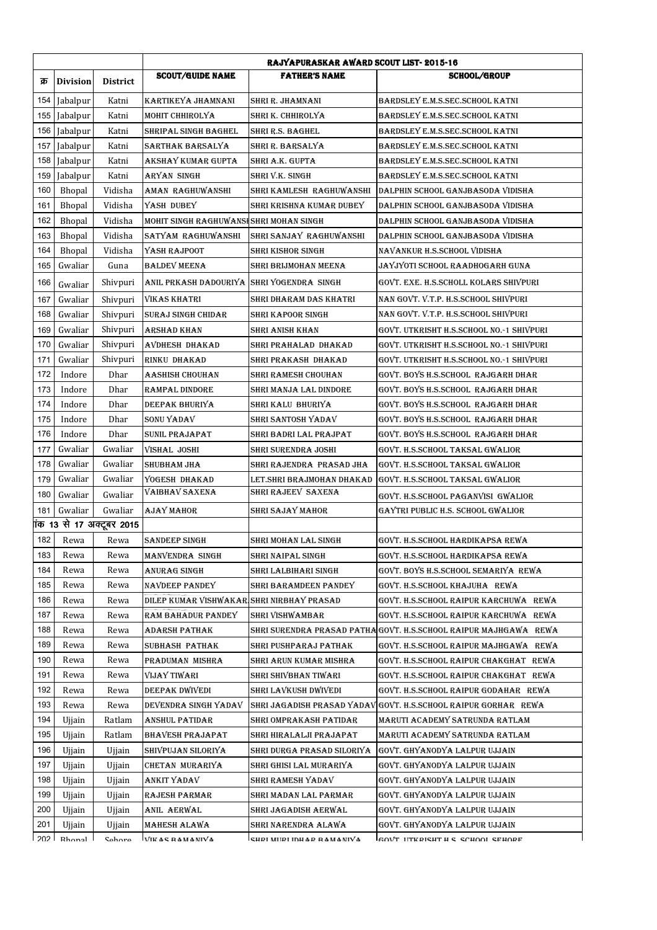|     |                 |                          | RAJYAPURASKAR AWARD SCOUT LIST-2015-16    |                            |                                          |  |
|-----|-----------------|--------------------------|-------------------------------------------|----------------------------|------------------------------------------|--|
| क्र | <b>Division</b> | <b>District</b>          | <b>SCOUT/GUIDE NAME</b>                   | <b>FATHER'S NAME</b>       | <b>SCHOOL/GROUP</b>                      |  |
| 154 | Jabalpur        | Katni                    | KARTIKEYA JHAMNANI                        | SHRI R. JHAMNANI           | BARDSLEY E.M.S.SEC.SCHOOL KATNI          |  |
|     | 155 Jabalpur    | Katni                    | MOHIT CHHIROLYA                           | SHRI K. CHHIROLYA          | BARDSLEY E.M.S.SEC.SCHOOL KATNI          |  |
|     | 156 Jabalpur    | Katni                    | SHRIPAL SINGH BAGHEL                      | SHRI R.S. BAGHEL           | BARDSLEY E.M.S.SEC.SCHOOL KATNI          |  |
| 157 | Jabalpur        | Katni                    | SARTHAK BARSALYA                          | SHRI R. BARSALYA           | BARDSLEY E.M.S.SEC.SCHOOL KATNI          |  |
| 158 | Jabalpur        | Katni                    | AKSHAY KUMAR GUPTA                        | SHRI A.K. GUPTA            | BARDSLEY E.M.S.SEC.SCHOOL KATNI          |  |
| 159 | Jabalpur        | Katni                    | ARYAN SINGH                               | SHRI V.K. SINGH            | BARDSLEY E.M.S.SEC.SCHOOL KATNI          |  |
| 160 | Bhopal          | Vidisha                  | AMAN RAGHUWANSHI                          | SHRI KAMLESH RAGHUWANSHI   | DALPHIN SCHOOL GANJBASODA VIDISHA        |  |
| 161 | Bhopal          | Vidisha                  | YASH DUBEY                                | SHRI KRISHNA KUMAR DUBEY   | DALPHIN SCHOOL GANJBASODA VIDISHA        |  |
| 162 | Bhopal          | Vidisha                  | MOHIT SINGH RAGHUWANSI SHRI MOHAN SINGH   |                            | DALPHIN SCHOOL GANJBASODA VIDISHA        |  |
| 163 | Bhopal          | Vidisha                  | SATYAM RAGHUWANSHI                        | SHRI SANJAY RAGHUWANSHI    | DALPHIN SCHOOL GANJBASODA VIDISHA        |  |
| 164 | Bhopal          | Vidisha                  | YASH RAJPOOT                              | SHRI KISHOR SINGH          | NAVANKUR H.S.SCHOOL VIDISHA              |  |
| 165 | Gwaliar         | Guna                     | BALDEV MEENA                              | SHRI BRIJMOHAN MEENA       | JAYJYOTI SCHOOL RAADHOGARH GUNA          |  |
| 166 | Gwaliar         | Shivpuri                 | ANIL PRKASH DADOURIYA                     | SHRI YOGENDRA SINGH        | GOVT. EXE. H.S.SCHOLL KOLARS SHIVPURI    |  |
| 167 | Gwaliar         | Shivpuri                 | VIKAS KHATRI                              | SHRI DHARAM DAS KHATRI     | NAN GOVT. V.T.P. H.S.SCHOOL SHIVPURI     |  |
| 168 | Gwaliar         | Shivpuri                 | <b>SURAJ SINGH CHIDAR</b>                 | SHRI KAPOOR SINGH          | NAN GOVT. V.T.P. H.S.SCHOOL SHIVPURI     |  |
| 169 | Gwaliar         | Shivpuri                 | ARSHAD KHAN                               | SHRI ANISH KHAN            | GOVT. UTKRISHT H.S.SCHOOL NO.-1 SHIVPURI |  |
| 170 | Gwaliar         | Shivpuri                 | AVDHESH DHAKAD                            | SHRI PRAHALAD DHAKAD       | GOVT. UTKRISHT H.S.SCHOOL NO.-1 SHIVPURI |  |
| 171 | Gwaliar         | Shivpuri                 | RINKU DHAKAD                              | SHRI PRAKASH DHAKAD        | GOVT. UTKRISHT H.S.SCHOOL NO.-1 SHIVPURI |  |
| 172 | Indore          | Dhar                     | AASHISH CHOUHAN                           | SHRI RAMESH CHOUHAN        | GOVT. BOYS H.S.SCHOOL RAJGARH DHAR       |  |
| 173 | Indore          | Dhar                     | RAMPAL DINDORE                            | SHRI MANJA LAL DINDORE     | GOVT. BOYS H.S.SCHOOL RAJGARH DHAR       |  |
| 174 | Indore          | Dhar                     | DEEPAK BHURIYA                            | SHRI KALU-BHURIYA          | GOVT. BOYS H.S.SCHOOL  RAJGARH DHAR      |  |
| 175 | Indore          | Dhar                     | SONU YADAV                                | SHRI SANTOSH YADAV         | GOVT. BOYS H.S.SCHOOL  RAJGARH DHAR      |  |
| 176 | Indore          | Dhar                     | SUNIL PRAJAPAT                            | SHRI BADRI LAL PRAJPAT     | GOVT. BOYS H.S.SCHOOL RAJGARH DHAR       |  |
| 177 | Gwaliar         | Gwaliar                  | VISHAL JOSHI                              | SHRI SURENDRA JOSHI        | GOVT. H.S.SCHOOL TAKSAL GWALIOR          |  |
| 178 | Gwaliar         | Gwaliar                  | SHUBHAM JHA                               | SHRI RAJENDRA  PRASAD JHA  | GOVT. H.S.SCHOOL TAKSAL GWALIOR          |  |
| 179 | Gwaliar         | Gwaliar                  | YOGESH DHAKAD                             | LET.SHRI BRAJMOHAN DHAKAD  | GOVT. H.S.SCHOOL TAKSAL GWALIOR          |  |
| 180 | Gwaliar         | Gwaliar                  | VAIBHAV SAXENA                            | SHRI RAJEEV SAXENA         | GOVT. H.S.SCHOOL PAGANVISI  GWALIOR      |  |
| 181 | Gwaliar         | Gwaliar                  | AJAY MAHOR                                | SHRI SAJAY MAHOR           | GAYTRI PUBLIC H.S. SCHOOL GWALIOR        |  |
|     |                 | iक 13 से 17 अक्टूबर 2015 |                                           |                            |                                          |  |
| 182 | Rewa            | Rewa                     | <b>SANDEEP SINGH</b>                      | SHRI MOHAN LAL SINGH       | GOVT. H.S.SCHOOL HARDIKAPSA REWA         |  |
| 183 | Rewa            | Rewa                     | MANVENDRA SINGH                           | SHRI NAIPAL SINGH          | GOVT. H.S.SCHOOL HARDIKAPSA REWA         |  |
| 184 | Rewa            | Rewa                     | ANURAG SINGH                              | SHRI LALBIHARI SINGH       | GOVT. BOYS H.S.SCHOOL SEMARIYA  REWA     |  |
| 185 | Rewa            | Rewa                     | NAVDEEP PANDEY                            | SHRI BARAMDEEN PANDEY      | GOVT. H.S.SCHOOL KHAJUHA    REWA         |  |
| 186 | Rewa            | Rewa                     | DILEP KUMAR VISHWAKAR SHRI NIRBHAY PRASAD |                            | GOVT. H.S.SCHOOL RAIPUR KARCHUWA    REWA |  |
| 187 | Rewa            | Rewa                     | RAM BAHADUR PANDEY                        | <b>SHRI VISHWAMBAR</b>     | GOVT. H.S.SCHOOL RAIPUR KARCHUWA    REWA |  |
| 188 | Rewa            | Rewa                     | ADARSH PATHAK                             | SHRI SURENDRA PRASAD PATHA | GOVT. H.S.SCHOOL RAIPUR MAJHGAWA    REWA |  |
| 189 | Rewa            | Rewa                     | SUBHASH PATHAK                            | SHRI PUSHPARAJ PATHAK      | GOVT. H.S.SCHOOL RAIPUR MAJHGAWA    REWA |  |
| 190 | Rewa            | Rewa                     | PRADUMAN MISHRA                           | SHRI ARUN KUMAR MISHRA     | GOVT. H.S.SCHOOL RAIPUR CHAKGHAT   REWA  |  |
| 191 | Rewa            | Rewa                     | VIJAY TIWARI                              | SHRI SHIVBHAN TIWARI       | GOVT. H.S.SCHOOL RAIPUR CHAKGHAT   REWA  |  |
| 192 | Rewa            | Rewa                     | DEEPAK DWIVEDI                            | SHRI LAVKUSH DWIVEDI       | GOVT. H.S.SCHOOL RAIPUR GODAHAR   REWA   |  |
| 193 | Rewa            | Rewa                     | DEVENDRA SINGH YADAV                      | SHRI JAGADISH PRASAD YADAV | GOVT. H.S.SCHOOL RAIPUR GORHAR REWA      |  |
| 194 | Ujjain          | Ratlam                   | ANSHUL PATIDAR                            | SHRI OMPRAKASH PATIDAR     | MARUTI ACADEMY SATRUNDA RATLAM           |  |
| 195 | Ujjain          | Ratlam                   | BHAVESH PRAJAPAT                          | SHRI HIRALALJI PRAJAPAT    | MARUTI ACADEMY SATRUNDA RATLAM           |  |
| 196 | Ujjain          | Ujjain                   | SHIVPUJAN SILORIYA                        | SHRI DURGA PRASAD SILORIYA | GOVT. GHYANODYA LALPUR UJJAIN            |  |
| 197 | Ujjain          | Ujjain                   | CHETAN MURARIYA                           | SHRI GHISI LAL MURARIYA    | GOVT. GHYANODYA LALPUR UJJAIN            |  |
| 198 | Ujjain          | Ujjain                   | ANKIT YADAV                               | SHRI RAMESH YADAV          | GOVT. GHYANODYA LALPUR UJJAIN            |  |
| 199 | Ujjain          | Ujjain                   | RAJESH PARMAR                             | SHRI MADAN LAL PARMAR      | GOVT. GHYANODYA LALPUR UJJAIN            |  |
| 200 | Ujjain          | Ujjain                   | ANIL AERWAL                               | SHRI JAGADISH AERWAL       | GOVT. GHYANODYA LALPUR UJJAIN            |  |
| 201 | Ujjain          | Ujjain                   | MAHESH ALAWA                              | SHRI NARENDRA ALAWA        | GOVT. GHYANODYA LALPUR UJJAIN            |  |
| วดว | Rhonal          | Cahora                   | VIK & C R & M & NIV &                     | CHPI MUPI INHAP RAMANIVA   | GOVT ITERPICHT H C CCHOOI CEHOPE         |  |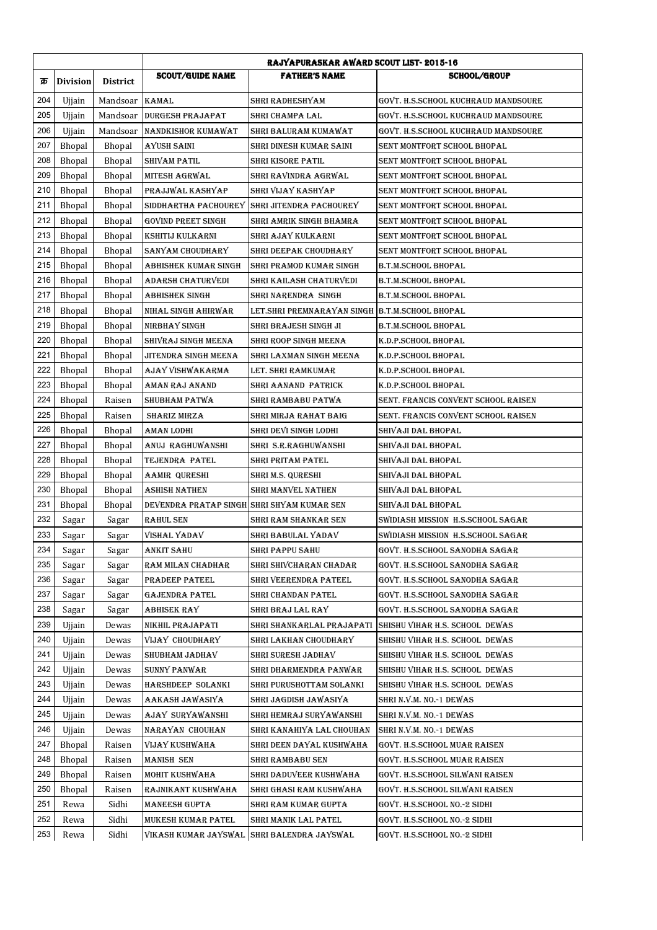|     |                 |                 | <b>RAJYAPURASKAR AWARD SCOUT LIST-2015-16</b> |                                                |                                     |  |
|-----|-----------------|-----------------|-----------------------------------------------|------------------------------------------------|-------------------------------------|--|
| क्र | <b>Division</b> | <b>District</b> | <b>SCOUT/GUIDE NAME</b>                       | <b>FATHER'S NAME</b>                           | <b>SCHOOL/GROUP</b>                 |  |
| 204 | Ujjain          | Mandsoar        | <b>KAMAL</b>                                  | SHRI RADHESHYAM                                | GOVT. H.S.SCHOOL KUCHRAUD MANDSOURE |  |
| 205 | Ujjain          | Mandsoar        | DURGESH PRAJAPAT                              | SHRI CHAMPA LAL                                | GOVT. H.S.SCHOOL KUCHRAUD MANDSOURE |  |
| 206 | Ujjain          | Mandsoar        | <b>NANDKISHOR KUMAWAT</b>                     | SHRI BALURAM KUMAWAT                           | GOVT. H.S.SCHOOL KUCHRAUD MANDSOURE |  |
| 207 | <b>Bhopal</b>   | <b>Bhopal</b>   | AYUSH SAINI                                   | SHRI DINESH KUMAR SAINI                        | SENT MONTFORT SCHOOL BHOPAL         |  |
| 208 | <b>Bhopal</b>   | <b>Bhopal</b>   | SHIVAM PATIL                                  | SHRI KISORE PATIL                              | SENT MONTFORT SCHOOL BHOPAL         |  |
| 209 | Bhopal          | Bhopal          | MITESH AGRWAL                                 | SHRI RAVINDRA AGRWAL                           | SENT MONTFORT SCHOOL BHOPAL         |  |
| 210 | Bhopal          | Bhopal          | PRAJJWAL KASHYAP                              | SHRI VIJAY KASHYAP                             | SENT MONTFORT SCHOOL BHOPAL         |  |
| 211 | <b>Bhopal</b>   | <b>Bhopal</b>   |                                               | SIDDHARTHA PACHOUREY SHRI JITENDRA PACHOUREY   | SENT MONTFORT SCHOOL BHOPAL         |  |
| 212 | <b>Bhopal</b>   | <b>Bhopal</b>   | GOVIND PREET SINGH                            | SHRI AMRIK SINGH BHAMRA                        | SENT MONTFORT SCHOOL BHOPAL         |  |
| 213 | Bhopal          | Bhopal          | KSHITIJ KULKARNI                              | SHRI AJAY KULKARNI                             | SENT MONTFORT SCHOOL BHOPAL         |  |
| 214 | Bhopal          | <b>Bhopal</b>   | SANYAM CHOUDHARY                              | SHRI DEEPAK CHOUDHARY                          | SENT MONTFORT SCHOOL BHOPAL         |  |
| 215 | <b>Bhopal</b>   | <b>Bhopal</b>   | ABHISHEK KUMAR SINGH                          | SHRI PRAMOD KUMAR SINGH                        | <b>B.T.M.SCHOOL BHOPAL</b>          |  |
| 216 | <b>Bhopal</b>   | <b>Bhopal</b>   | ADARSH CHATURVEDI                             | SHRI KAILASH CHATURVEDI                        | B.T.M.SCHOOL BHOPAL                 |  |
| 217 | Bhopal          | <b>Bhopal</b>   | <b>ABHISHEK SINGH</b>                         | SHRI NARENDRA SINGH                            | B.T.M.SCHOOL BHOPAL                 |  |
| 218 | Bhopal          | Bhopal          | NIHAL SINGH AHIRWAR                           | LET.SHRI PREMNARAYAN SINGH B.T.M.SCHOOL BHOPAL |                                     |  |
| 219 | Bhopal          | <b>Bhopal</b>   | NIRBHAY SINGH                                 | SHRI BRAJESH SINGH JI                          | B.T.M.SCHOOL BHOPAL                 |  |
| 220 | Bhopal          | Bhopal          | SHIVRAJ SINGH MEENA                           | SHRI ROOP SINGH MEENA                          | K.D.P.SCHOOL BHOPAL                 |  |
| 221 | Bhopal          | Bhopal          | JITENDRA SINGH MEENA                          | SHRI LAXMAN SINGH MEENA                        | K.D.P.SCHOOL BHOPAL                 |  |
| 222 | Bhopal          | Bhopal          | AJAY VISHWAKARMA                              | LET. SHRI RAMKUMAR                             | K.D.P.SCHOOL BHOPAL                 |  |
| 223 | <b>Bhopal</b>   | <b>Bhopal</b>   | AMAN RAJ ANAND                                | SHRI AANAND PATRICK                            | K.D.P.SCHOOL BHOPAL                 |  |
| 224 | <b>Bhopal</b>   | Raisen          | SHUBHAM PATWA                                 | SHRI RAMBABU PATWA                             | SENT. FRANCIS CONVENT SCHOOL RAISEN |  |
| 225 | Bhopal          | Raisen          | <b>SHARIZ MIRZA</b>                           | SHRI MIRJA RAHAT BAIG                          | SENT. FRANCIS CONVENT SCHOOL RAISEN |  |
| 226 | <b>Bhopal</b>   | <b>Bhopal</b>   | AMAN LODHI                                    | SHRI DEVI SINGH LODHI                          | SHIVAJI DAL BHOPAL                  |  |
| 227 | <b>Bhopal</b>   | <b>Bhopal</b>   | ANUJ RAGHUWANSHI                              | SHRI S.R.RAGHUWANSHI                           | SHIVAJI DAL BHOPAL                  |  |
| 228 | Bhopal          | Bhopal          | <b>TEJENDRA PATEL</b>                         | SHRI PRITAM PATEL                              | SHIVAJI DAL BHOPAL                  |  |
| 229 | Bhopal          | <b>Bhopal</b>   | AAMIR QURESHI                                 | SHRI M.S. QURESHI                              | SHIVAJI DAL BHOPAL                  |  |
| 230 | <b>Bhopal</b>   | <b>Bhopal</b>   | ASHISH NATHEN                                 | SHRI MANVEL NATHEN                             | SHIVAJI DAL BHOPAL                  |  |
| 231 | <b>Bhopal</b>   | <b>Bhopal</b>   | DEVENDRA PRATAP SINGH SHRI SHYAM KUMAR SEN    |                                                | SHIVAJI DAL BHOPAL                  |  |
| 232 | Sagar           | Sagar           | <b>RAHUL SEN</b>                              | SHRI RAM SHANKAR SEN                           | SWIDIASH MISSION H.S.SCHOOL SAGAR   |  |
| 233 | Sagar           | Sagar           | VISHAL YADAV                                  | SHRI BABULAL YADAV                             | SWIDIASH MISSION  H.S.SCHOOL SAGAR  |  |
| 234 | Sagar           | Sagar           | <b>ANKIT SAHU</b>                             | SHRI PAPPU SAHU                                | GOVT. H.S.SCHOOL SANODHA SAGAR      |  |
| 235 | Sagar           | Sagar           | RAM MILAN CHADHAR                             | SHRI SHIVCHARAN CHADAR                         | GOVT. H.S.SCHOOL SANODHA SAGAR      |  |
| 236 | Sagar           | Sagar           | PRADEEP PATEEL                                | SHRI VEERENDRA PATEEL                          | GOVT. H.S.SCHOOL SANODHA SAGAR      |  |
| 237 | Sagar           | Sagar           | GAJENDRA PATEL                                | SHRI CHANDAN PATEL                             | GOVT. H.S.SCHOOL SANODHA SAGAR      |  |
| 238 | Sagar           | Sagar           | ABHISEK RAY                                   | SHRI BRAJ LAL RAY                              | GOVT. H.S.SCHOOL SANODHA SAGAR      |  |
| 239 | Ujjain          | Dewas           | NIKHIL PRAJAPATI                              | SHRI SHANKARLAL PRAJAPATI                      | SHISHU VIHAR H.S. SCHOOL DEWAS      |  |
| 240 | Ujjain          | Dewas           | VIJAY CHOUDHARY                               | SHRI LAKHAN CHOUDHARY                          | SHISHU VIHAR H.S. SCHOOL DEWAS      |  |
| 241 | Ujjain          | Dewas           | SHUBHAM JADHAV                                | SHRI SURESH JADHAV                             | SHISHU VIHAR H.S. SCHOOL DEWAS      |  |
| 242 | Ujjain          | Dewas           | SUNNY PANWAR                                  | SHRI DHARMENDRA PANWAR                         | SHISHU VIHAR H.S. SCHOOL DEWAS      |  |
| 243 | Ujjain          | Dewas           | HARSHDEEP SOLANKI                             | SHRI PURUSHOTTAM SOLANKI                       | SHISHU VIHAR H.S. SCHOOL  DEWAS     |  |
| 244 | Ujjain          | Dewas           | AAKASH JAWASIYA                               | SHRI JAGDISH JAWASIYA                          | SHRI N.V.M. NO.-1 DEWAS             |  |
| 245 | Ujjain          | Dewas           | AJAY SURYAWANSHI                              | SHRI HEMRAJ SURYAWANSHI                        | SHRI N.V.M. NO.-1 DEWAS             |  |
| 246 | Ujjain          | Dewas           | NARAYAN CHOUHAN                               | SHRI KANAHIYA LAL CHOUHAN                      | SHRI N.V.M. NO.-1 DEWAS             |  |
| 247 | Bhopal          | Raisen          | VIJAY KUSHWAHA                                | SHRI DEEN DAYAL KUSHWAHA                       | GOVT. H.S.SCHOOL MUAR RAISEN        |  |
| 248 | Bhopal          | Raisen          | MANISH SEN                                    | SHRI RAMBABU SEN                               | GOVT. H.S.SCHOOL MUAR RAISEN        |  |
| 249 | Bhopal          | Raisen          | MOHIT KUSHWAHA                                | SHRI DADUVEER KUSHWAHA                         | GOVT. H.S.SCHOOL SILWANI RAISEN     |  |
| 250 | Bhopal          | Raisen          | RAJNIKANT KUSHWAHA                            | SHRI GHASI RAM KUSHWAHA                        | GOVT. H.S.SCHOOL SILWANI RAISEN     |  |
| 251 | Rewa            | Sidhi           | MANEESH GUPTA                                 | SHRI RAM KUMAR GUPTA                           | GOVT. H.S.SCHOOL NO.-2 SIDHI        |  |
| 252 | Rewa            | Sidhi           | MUKESH KUMAR PATEL                            | SHRI MANIK LAL PATEL                           | GOVT. H.S.SCHOOL NO.-2 SIDHI        |  |
| 253 | Rewa            | Sidhi           |                                               | VIKASH KUMAR JAYSWAL   SHRI BALENDRA JAYSWAL   | GOVT. H.S.SCHOOL NO.-2 SIDHI        |  |
|     |                 |                 |                                               |                                                |                                     |  |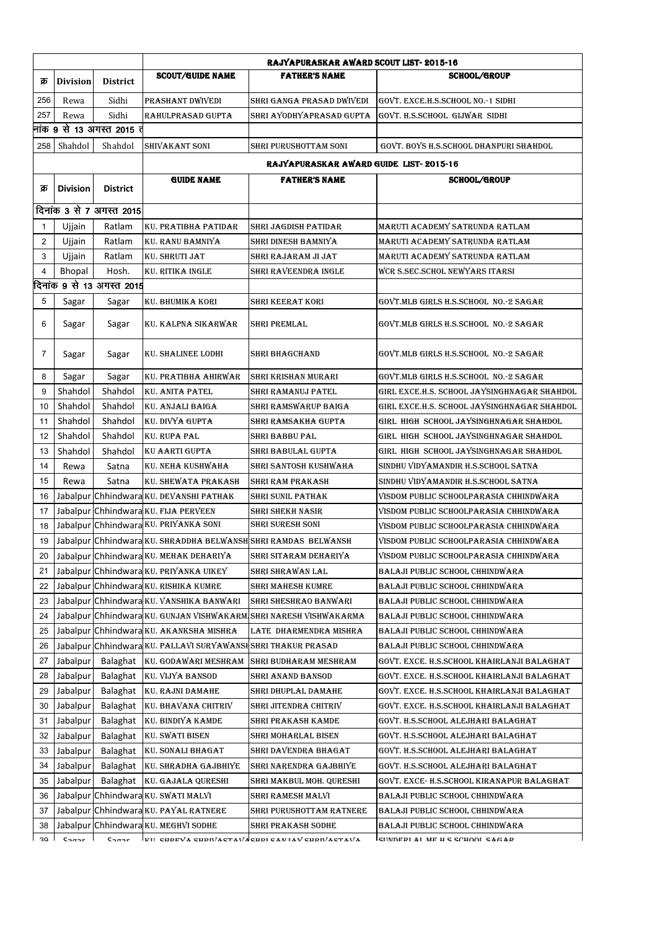|                            |                 |                            | RAJYAPURASKAR AWARD SCOUT LIST-2015-16                         |                                                                      |                                                                    |
|----------------------------|-----------------|----------------------------|----------------------------------------------------------------|----------------------------------------------------------------------|--------------------------------------------------------------------|
| क्र                        | <b>Division</b> | <b>District</b>            | <b>SCOUT/GUIDE NAME</b>                                        | <b>FATHER'S NAME</b>                                                 | <b>SCHOOL/GROUP</b>                                                |
| 256                        | Rewa            | Sidhi                      | PRASHANT DWIVEDI                                               | SHRI GANGA PRASAD DWIVEDI                                            | GOVT. EXCE.H.S.SCHOOL NO.-1 SIDHI                                  |
| 257                        | Rewa            | Sidhi                      | RAHULPRASAD GUPTA                                              | SHRI AYODHYAPRASAD GUPTA                                             | GOVT. H.S.SCHOOL GIJWAR SIDHI                                      |
|                            |                 | नांक 9 से 13 अगस्त 2015 तं |                                                                |                                                                      |                                                                    |
| 258                        | Shahdol         | Shahdol                    | SHIVAKANT SONI                                                 | SHRI PURUSHOTTAM SONI                                                | GOVT. BOYS H.S.SCHOOL DHANPURI SHAHDOL                             |
|                            |                 |                            |                                                                | RAJYAPURASKAR AWARD GUIDE LIST-2015-16                               |                                                                    |
|                            |                 |                            | <b>GUIDE NAME</b>                                              | <b>FATHER'S NAME</b>                                                 | <b>SCHOOL/GROUP</b>                                                |
| क्र                        | <b>Division</b> | <b>District</b>            |                                                                |                                                                      |                                                                    |
|                            |                 | दिनांक 3 से 7 अगस्त 2015   |                                                                |                                                                      |                                                                    |
| 1                          | Ujjain          | Ratlam                     | KU. PRATIBHA PATIDAR                                           | SHRI JAGDISH PATIDAR                                                 | MARUTI ACADEMY SATRUNDA RATLAM                                     |
| $\overline{\mathbf{c}}$    | Ujjain          | Ratlam                     | KU. RANU BAMNIYA                                               | SHRI DINESH BAMNIYA                                                  | MARUTI ACADEMY SATRUNDA RATLAM                                     |
| 3                          | Ujjain          | Ratlam                     | KU. SHRUTI JAT                                                 | SHRI RAJARAM JI JAT                                                  | MARUTI ACADEMY SATRUNDA RATLAM                                     |
| 4                          | Bhopal          | Hosh.                      | KU. RITIKA INGLE                                               | SHRI RAVEENDRA INGLE                                                 | WCR S.SEC.SCHOL NEWYARS ITARSI                                     |
|                            |                 | दिनांक 9 से 13 अगस्त 2015  |                                                                |                                                                      |                                                                    |
| 5                          | Sagar           | Sagar                      | KU. BHUMIKA KORI                                               | SHRI KEERAT KORI                                                     | GOVT.MLB GIRLS H.S.SCHOOL  NO.-2 SAGAR                             |
| 6                          | Sagar           | Sagar                      | KU. KALPNA SIKARWAR                                            | SHRI PREMLAL                                                         | GOVT.MLB GIRLS H.S.SCHOOL  NO.-2 SAGAR                             |
| 7                          | Sagar           | Sagar                      | KU. SHALINEE LODHI                                             | <b>SHRI BHAGCHAND</b>                                                | GOVT.MLB GIRLS H.S.SCHOOL NO.-2 SAGAR                              |
| 8                          | Sagar           | Sagar                      | KU. PRATIBHA AHIRWAR                                           | SHRI KRISHAN MURARI                                                  | GOVT.MLB GIRLS H.S.SCHOOL NO.-2 SAGAR                              |
| 9                          | Shahdol         | Shahdol                    | KU. ANITA PATEL                                                | SHRI RAMANUJ PATEL                                                   | GIRL EXCE.H.S. SCHOOL JAYSINGHNAGAR SHAHDOL                        |
| 10                         | Shahdol         | Shahdol                    | KU. ANJALI BAIGA                                               | SHRI RAMSWARUP BAIGA                                                 | GIRL EXCE.H.S. SCHOOL JAYSINGHNAGAR SHAHDOL                        |
| 11                         | Shahdol         | Shahdol                    | KU. DIVYA GUPTA                                                | SHRI RAMSAKHA GUPTA                                                  | GIRL HIGH SCHOOL JAYSINGHNAGAR SHAHDOL                             |
| 12                         | Shahdol         | Shahdol                    | <b>KU. RUPA PAL</b>                                            | SHRI BABBU PAL                                                       | GIRL HIGH SCHOOL JAYSINGHNAGAR SHAHDOL                             |
| 13                         | Shahdol         | Shahdol                    | KU AARTI GUPTA                                                 | SHRI BABULAL GUPTA                                                   | GIRL HIGH SCHOOL JAYSINGHNAGAR SHAHDOL                             |
| 14                         | Rewa            | Satna                      | KU. NEHA KUSHWAHA                                              | SHRI SANTOSH KUSHWAHA                                                | SINDHU VIDYAMANDIR H.S.SCHOOL SATNA                                |
| 15                         | Rewa            | Satna                      | KU. SHEWATA PRAKASH                                            | SHRI RAM PRAKASH                                                     | SINDHU VIDYAMANDIR H.S.SCHOOL SATNA                                |
| 16                         |                 |                            | Jabalpur Chhindwara KU. DEVANSHI PATHAK                        | SHRI SUNIL PATHAK                                                    | VISDOM PUBLIC SCHOOLPARASIA CHHINDWARA                             |
| 17                         |                 |                            | Jabalpur Chhindwara KU. FIJA PERVEEN                           | SHRI SHEKH NASIR                                                     | VISDOM PUBLIC SCHOOLPARASIA CHHINDWARA                             |
| 18                         |                 |                            | Jabalpur Chhindwara KU. PRIYANKA SONI                          | <b>SHRI SURESH SONI</b>                                              | VISDOM PUBLIC SCHOOLPARASIA CHHINDWARA                             |
| 19                         |                 |                            | Jabalpur Chhindwara KU. SHRADDHA BELWANSH SHRI RAMDAS BELWANSH |                                                                      | VISDOM PUBLIC SCHOOLPARASIA CHHINDWARA                             |
| 20                         |                 |                            | Jabalpur Chhindwara KU. MEHAK DEHARIYA                         | SHRI SITARAM DEHARIYA                                                | VISDOM PUBLIC SCHOOLPARASIA CHHINDWARA                             |
| 21                         |                 |                            | Jabalpur Chhindwara KU. PRIYANKA UIKEY                         | SHRI SHRAWAN LAL                                                     | BALAJI PUBLIC SCHOOL CHHINDWARA                                    |
| 22                         |                 |                            | Jabalpur Chhindwara KU. RISHIKA KUMRE                          | SHRI MAHESH KUMRE                                                    | BALAJI PUBLIC SCHOOL CHHINDWARA                                    |
| 23                         |                 |                            | Jabalpur Chhindwara KU. VANSHIKA BANWARI                       | SHRI SHESHRAO BANWARI                                                | BALAJI PUBLIC SCHOOL CHHINDWARA                                    |
| 24                         |                 |                            |                                                                | Jabalpur Chhindwara KU. GUNJAN VISHWAKARM SHRI NARESH VISHWAKARMA    | BALAJI PUBLIC SCHOOL CHHINDWARA                                    |
| 25                         |                 |                            | Jabalpur Chhindwara KU. AKANKSHA MISHRA                        | LATE DHARMENDRA MISHRA                                               | BALAJI PUBLIC SCHOOL CHHINDWARA                                    |
| 26                         |                 |                            | Jabalpur Chhindwara KU. PALLAVI SURYAWANSH SHRI THAKUR PRASAD  |                                                                      | BALAJI PUBLIC SCHOOL CHHINDWARA                                    |
| 27                         | Jabalpur        | Balaghat                   | KU. GODAWARI MESHRAM                                           | SHRI BUDHARAM MESHRAM                                                | GOVT. EXCE. H.S.SCHOOL KHAIRLANJI BALAGHAT                         |
| 28                         | Jabalpur        | Balaghat                   | KU. VIJYA BANSOD                                               | SHRI ANAND BANSOD                                                    | GOVT. EXCE. H.S.SCHOOL KHAIRLANJI BALAGHAT                         |
| 29                         | Jabalpur        | Balaghat                   | KU. RAJNI DAMAHE                                               | SHRI DHUPLAL DAMAHE                                                  | GOVT. EXCE. H.S.SCHOOL KHAIRLANJI BALAGHAT                         |
| 30                         | Jabalpur        | Balaghat                   | KU. BHAVANA CHITRIV                                            | SHRI JITENDRA CHITRIV                                                | GOVT. EXCE. H.S.SCHOOL KHAIRLANJI BALAGHAT                         |
| 31                         | Jabalpur        | Balaghat                   | KU. BINDIYA KAMDE                                              | SHRI PRAKASH KAMDE                                                   | GOVT. H.S.SCHOOL ALEJHARI BALAGHAT                                 |
| 32                         | Jabalpur        | Balaghat                   | <b>KU. SWATI BISEN</b>                                         | SHRI MOHARLAL BISEN                                                  | GOVT. H.S.SCHOOL ALEJHARI BALAGHAT                                 |
| 33                         | Jabalpur        | Balaghat                   | KU. SONALI BHAGAT                                              | SHRI DAVENDRA BHAGAT                                                 | GOVT. H.S.SCHOOL ALEJHARI BALAGHAT                                 |
| 34                         | Jabalpur        | Balaghat                   | KU. SHRADHA GAJBHIYE                                           | SHRI NARENDRA GAJBHIYE                                               |                                                                    |
| 35                         | Jabalpur        | Balaghat                   |                                                                | SHRI MAKBUL MOH. QURESHI                                             | GOVT. H.S.SCHOOL ALEJHARI BALAGHAT                                 |
| 36                         |                 |                            | KU. GAJALA QURESHI<br>Jabalpur Chhindwara KU. SWATI MALVI      |                                                                      | GOVT. EXCE- H.S.SCHOOL KIRANAPUR BALAGHAT                          |
| 37                         |                 |                            | Jabalpur Chhindwara KU. PAYAL RATNERE                          | SHRI RAMESH MALVI                                                    | BALAJI PUBLIC SCHOOL CHHINDWARA                                    |
|                            |                 |                            |                                                                | SHRI PURUSHOTTAM RATNERE                                             | BALAJI PUBLIC SCHOOL CHHINDWARA                                    |
| 38<br>$\mathfrak{d}\Omega$ | C <sub>0</sub>  | C <sub>0</sub>             | Jabalpur Chhindwara KU. MEGHVI SODHE                           | SHRI PRAKASH SODHE<br>WII CHOEVA CHORIACTAVIACHOLCANIAV CHORIACTAVIA | BALAJI PUBLIC SCHOOL CHHINDWARA<br>CHINDEDI AI ME U C COUOOI CAGAD |
|                            |                 |                            |                                                                |                                                                      |                                                                    |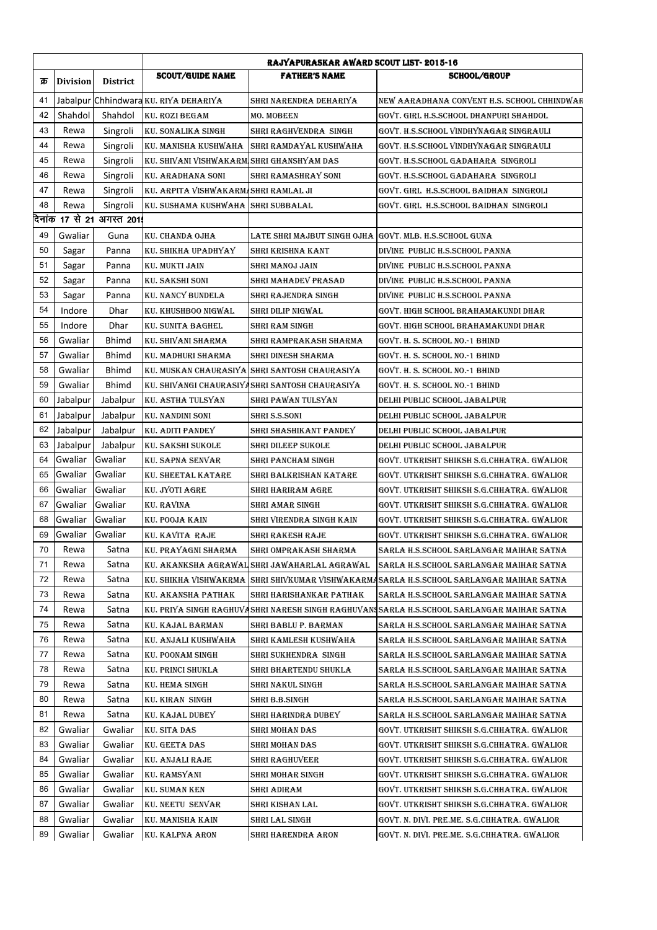|     |                 |                            | <b>RAJYAPURASKAR AWARD SCOUT LIST-2015-16</b> |                                                        |                                                                                           |  |  |
|-----|-----------------|----------------------------|-----------------------------------------------|--------------------------------------------------------|-------------------------------------------------------------------------------------------|--|--|
| क्र | <b>Division</b> | <b>District</b>            | <b>SCOUT/GUIDE NAME</b>                       | <b>FATHER'S NAME</b>                                   | <b>SCHOOL/GROUP</b>                                                                       |  |  |
| 41  |                 |                            | Jabalpur Chhindwara KU, RIYA DEHARIYA         | SHRI NARENDRA DEHARIYA                                 | NEW AARADHANA CONVENT H.S. SCHOOL CHHINDWAR                                               |  |  |
| 42  | Shahdol         | Shahdol                    | <b>KU. ROZI BEGAM</b>                         | MO. MOBEEN                                             | GOVT. GIRL H.S.SCHOOL DHANPURI SHAHDOL                                                    |  |  |
| 43  | Rewa            | Singroli                   | <b>KU. SONALIKA SINGH</b>                     | SHRI RAGHVENDRA SINGH                                  | GOVT. H.S.SCHOOL VINDHYNAGAR SINGRAULI                                                    |  |  |
| 44  | Rewa            | Singroli                   |                                               | KU. MANISHA KUSHWAHA   SHRI RAMDAYAL KUSHWAHA          | GOVT. H.S.SCHOOL VINDHYNAGAR SINGRAULI                                                    |  |  |
| 45  | Rewa            | Singroli                   | KU. SHIVANI VISHWAKARM SHRI GHANSHYAM DAS     |                                                        | GOVT. H.S.SCHOOL GADAHARA  SINGROLI                                                       |  |  |
| 46  | Rewa            | Singroli                   | KU. ARADHANA SONI                             | SHRI RAMASHRAY SONI                                    | GOVT. H.S.SCHOOL GADAHARA SINGROLI                                                        |  |  |
| 47  | Rewa            | Singroli                   | KU. ARPITA VISHWAKARM SHRI RAMLAL JI          |                                                        | GOVT. GIRL H.S.SCHOOL BAIDHAN SINGROLI                                                    |  |  |
| 48  | Rewa            | Singroli                   | KU. SUSHAMA KUSHWAHA SHRI SUBBALAL            |                                                        | GOVT. GIRL H.S.SCHOOL BAIDHAN SINGROLI                                                    |  |  |
|     |                 | दिनांक 17 से 21 अगस्त 201! |                                               |                                                        |                                                                                           |  |  |
| 49  | Gwaliar         | Guna                       | KU. CHANDA OJHA                               | LATE SHRI MAJBUT SINGH OJHA GOVT. MLB. H.S.SCHOOL GUNA |                                                                                           |  |  |
| 50  | Sagar           | Panna                      | KU. SHIKHA UPADHYAY                           | SHRI KRISHNA KANT                                      | DIVINE PUBLIC H.S.SCHOOL PANNA                                                            |  |  |
| 51  | Sagar           | Panna                      | KU. MUKTI JAIN                                | SHRI MANOJ JAIN                                        | DIVINE PUBLIC H.S.SCHOOL PANNA                                                            |  |  |
| 52  | Sagar           | Panna                      | KU. SAKSHI SONI                               | SHRI MAHADEV PRASAD                                    | DIVINE PUBLIC H.S.SCHOOL PANNA                                                            |  |  |
| 53  | Sagar           | Panna                      | KU. NANCY BUNDELA                             | SHRI RAJENDRA SINGH                                    | DIVINE PUBLIC H.S.SCHOOL PANNA                                                            |  |  |
| 54  | Indore          | Dhar                       | KU. KHUSHBOO NIGWAL                           | SHRI DILIP NIGWAL                                      | GOVT. HIGH SCHOOL BRAHAMAKUNDI DHAR                                                       |  |  |
| 55  | Indore          | Dhar                       | KU. SUNITA BAGHEL                             | SHRI RAM SINGH                                         | GOVT. HIGH SCHOOL BRAHAMAKUNDI DHAR                                                       |  |  |
| 56  | Gwaliar         | <b>Bhimd</b>               | KU. SHIVANI SHARMA                            | SHRI RAMPRAKASH SHARMA                                 | GOVT. H. S. SCHOOL NO.-1 BHIND                                                            |  |  |
| 57  | Gwaliar         | <b>Bhimd</b>               | KU. MADHURI SHARMA                            | SHRI DINESH SHARMA                                     | GOVT. H. S. SCHOOL NO.-1 BHIND                                                            |  |  |
| 58  | Gwaliar         | <b>Bhimd</b>               |                                               | KU. MUSKAN CHAURASIYA SHRI SANTOSH CHAURASIYA          | GOVT. H. S. SCHOOL NO.-1 BHIND                                                            |  |  |
| 59  | Gwaliar         | <b>Bhimd</b>               |                                               | KU. SHIVANGI CHAURASIYASHRI SANTOSH CHAURASIYA         | GOVT. H. S. SCHOOL NO.-1 BHIND                                                            |  |  |
| 60  | Jabalpur        | Jabalpur                   | KU. ASTHA TULSYAN                             | SHRI PAWAN TULSYAN                                     | DELHI PUBLIC SCHOOL JABALPUR                                                              |  |  |
| 61  | Jabalpur        | Jabalpur                   | <b>KU. NANDINI SONI</b>                       | SHRI S.S.SONI                                          | DELHI PUBLIC SCHOOL JABALPUR                                                              |  |  |
| 62  | Jabalpur        | Jabalpur                   | KU. ADITI PANDEY                              | SHRI SHASHIKANT PANDEY                                 | DELHI PUBLIC SCHOOL JABALPUR                                                              |  |  |
| 63  | Jabalpur        | Jabalpur                   | KU. SAKSHI SUKOLE                             | SHRI DILEEP SUKOLE                                     | DELHI PUBLIC SCHOOL JABALPUR                                                              |  |  |
| 64  | Gwaliar         | Gwaliar                    | KU. SAPNA SENVAR                              | SHRI PANCHAM SINGH                                     | GOVT. UTKRISHT SHIKSH S.G.CHHATRA. GWALIOR                                                |  |  |
| 65  | Gwaliar         | Gwaliar                    | KU. SHEETAL KATARE                            | SHRI BALKRISHAN KATARE                                 | GOVT. UTKRISHT SHIKSH S.G.CHHATRA. GWALIOR                                                |  |  |
| 66  | Gwaliar         | Gwaliar                    | KU. JYOTI AGRE                                | SHRI HARIRAM AGRE                                      | GOVT. UTKRISHT SHIKSH S.G.CHHATRA. GWALIOR                                                |  |  |
| 67  | Gwaliar         | Gwaliar                    | KU. RAVINA                                    |                                                        | GOVT. UTKRISHT SHIKSH S.G.CHHATRA. GWALIOR                                                |  |  |
| 68  | Gwaliar         | Gwaliar                    | KU. POOJA KAIN                                | SHRI AMAR SINGH                                        | GOVT. UTKRISHT SHIKSH S.G.CHHATRA. GWALIOR                                                |  |  |
| 69  |                 | Gwaliar                    |                                               | SHRI VIRENDRA SINGH KAIN                               |                                                                                           |  |  |
| 70  | Gwaliar         |                            | KU. KAVITA RAJE<br>KU. PRAYAGNI SHARMA        | SHRI RAKESH RAJE                                       | GOVT. UTKRISHT SHIKSH S.G.CHHATRA. GWALIOR                                                |  |  |
|     | Rewa            | Satna                      |                                               | SHRI OMPRAKASH SHARMA                                  | SARLA H.S.SCHOOL SARLANGAR MAIHAR SATNA                                                   |  |  |
| 71  | Rewa            | Satna                      | KU. AKANKSHA AGRAWAL                          | SHRI JAWAHARLAL AGRAWAL                                | SARLA H.S.SCHOOL SARLANGAR MAIHAR SATNA                                                   |  |  |
| 72  | Rewa            | Satna                      | KU. SHIKHA VISHWAKRMA                         |                                                        | SHRI SHIVKUMAR VISHWAKARMASARLA H.S.SCHOOL SARLANGAR MAIHAR SATNA                         |  |  |
| 73  | Rewa            | Satna                      | KU. AKANSHA PATHAK                            | SHRI HARISHANKAR PATHAK                                | SARLA H.S.SCHOOL SARLANGAR MAIHAR SATNA                                                   |  |  |
| 74  | Rewa            | Satna                      |                                               |                                                        | KU. PRIYA SINGH RAGHUVASHRI NARESH SINGH RAGHUVAN¶SARLA H.S.SCHOOL SARLANGAR MAIHAR SATNA |  |  |
| 75  | Rewa            | Satna                      | KU. KAJAL BARMAN                              | SHRI BABLU P. BARMAN                                   | SARLA H.S.SCHOOL SARLANGAR MAIHAR SATNA                                                   |  |  |
| 76  | Rewa            | Satna                      | KU. ANJALI KUSHWAHA                           | SHRI KAMLESH KUSHWAHA                                  | SARLA H.S.SCHOOL SARLANGAR MAIHAR SATNA                                                   |  |  |
| 77  | Rewa            | Satna                      | KU. POONAM SINGH                              | SHRI SUKHENDRA SINGH                                   | SARLA H.S.SCHOOL SARLANGAR MAIHAR SATNA                                                   |  |  |
| 78  | Rewa            | Satna                      | KU. PRINCI SHUKLA                             | SHRI BHARTENDU SHUKLA                                  | SARLA H.S.SCHOOL SARLANGAR MAIHAR SATNA                                                   |  |  |
| 79  | Rewa            | Satna                      | KU. HEMA SINGH                                | SHRI NAKUL SINGH                                       | SARLA H.S.SCHOOL SARLANGAR MAIHAR SATNA                                                   |  |  |
| 80  | Rewa            | Satna                      | KU. KIRAN SINGH                               | SHRI B.B.SINGH                                         | SARLA H.S.SCHOOL SARLANGAR MAIHAR SATNA                                                   |  |  |
| 81  | Rewa            | Satna                      | KU. KAJAL DUBEY                               | SHRI HARINDRA DUBEY                                    | SARLA H.S.SCHOOL SARLANGAR MAIHAR SATNA                                                   |  |  |
| 82  | Gwaliar         | Gwaliar                    | KU. SITA DAS                                  | SHRI MOHAN DAS                                         | GOVT. UTKRISHT SHIKSH S.G.CHHATRA. GWALIOR                                                |  |  |
| 83  | Gwaliar         | Gwaliar                    | KU. GEETA DAS                                 | SHRI MOHAN DAS                                         | GOVT. UTKRISHT SHIKSH S.G.CHHATRA. GWALIOR                                                |  |  |
| 84  | Gwaliar         | Gwaliar                    | KU. ANJALI RAJE                               | SHRI RAGHUVEER                                         | GOVT. UTKRISHT SHIKSH S.G.CHHATRA. GWALIOR                                                |  |  |
| 85  | Gwaliar         | Gwaliar                    | KU. RAMSYANI                                  | SHRI MOHAR SINGH                                       | GOVT. UTKRISHT SHIKSH S.G.CHHATRA. GWALIOR                                                |  |  |
| 86  | Gwaliar         | Gwaliar                    | KU. SUMAN KEN                                 | SHRI ADIRAM                                            | GOVT. UTKRISHT SHIKSH S.G.CHHATRA. GWALIOR                                                |  |  |
| 87  | Gwaliar         | Gwaliar                    | KU. NEETU SENVAR                              | SHRI KISHAN LAL                                        | GOVT. UTKRISHT SHIKSH S.G.CHHATRA. GWALIOR                                                |  |  |
| 88  | Gwaliar         | Gwaliar                    | KU. MANISHA KAIN                              | SHRI LAL SINGH                                         | GOVT. N. DIVI. PRE.ME. S.G.CHHATRA. GWALIOR                                               |  |  |
| 89  | Gwaliar         | Gwaliar                    | KU. KALPNA ARON                               | SHRI HARENDRA ARON                                     | GOVT. N. DIVI. PRE.ME. S.G.CHHATRA. GWALIOR                                               |  |  |